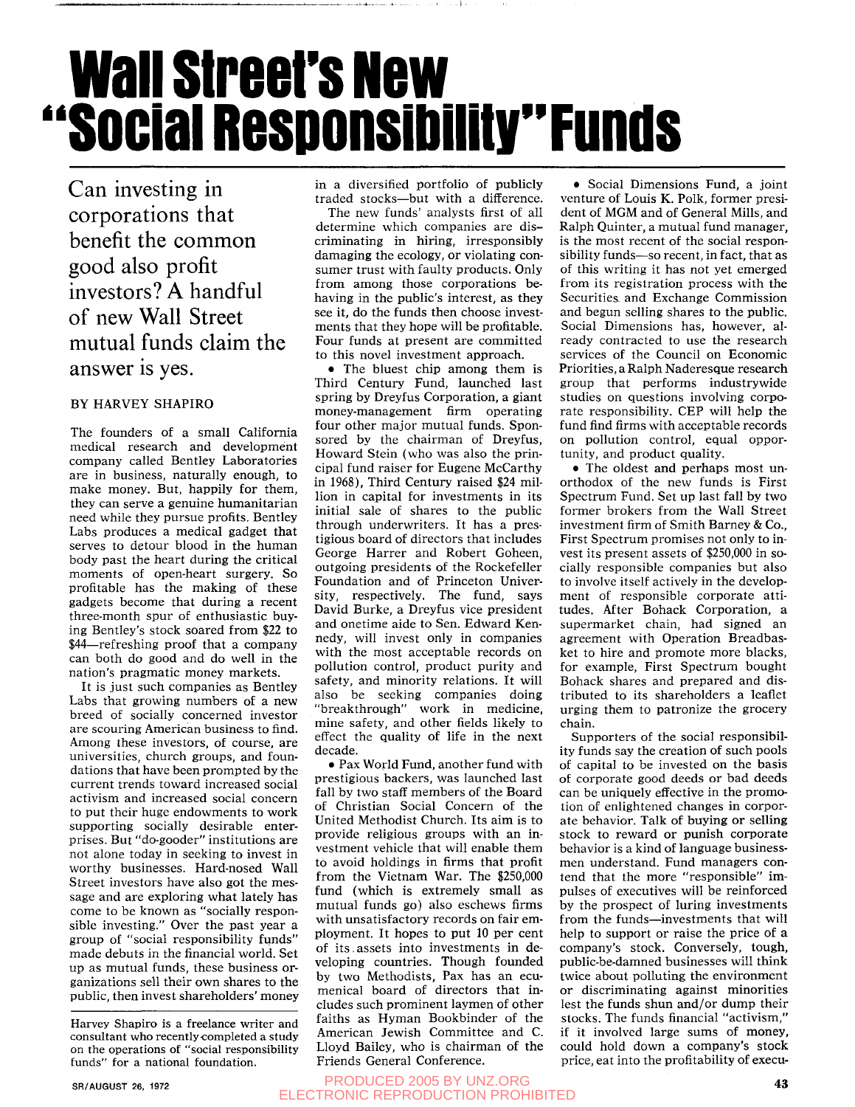# **ii wall street's New Social Responsibility" Funds**

Can investing in corporations that benefit the common good also profit investors? A handful of new Wall Street mutual funds claim the answer is yes.

### BY HARVEY SHAPIRO

The founders of a small California medical research and development company called Bentley Laboratories are in business, naturally enough, to make money. But, happily for them, they can serve a genuine humanitarian need while they pursue profits. Bentley Labs produces a medical gadget that serves to detour blood in the human body past the heart during the critical moments of open-heart surgery. So profitable has the making of these gadgets become that during a recent three-month spur of enthusiastic buying Bentley's stock soared from \$22 to \$44—refreshing proof that a company can both do good and do well in the nation's pragmatic money markets.

It is just such companies as Bentley Labs that growing numbers of a new breed of socially concerned investor are scouring American business to find. Among these investors, of course, are universities, church groups, and foundations that have been prompted by the current trends toward increased social activism and increased social concern to put their huge endowments to work supporting socially desirable enterprises. But "do-gooder" institutions are not alone today in seeking to invest in worthy businesses. Hard-nosed Wall Street investors have also got the message and are exploring what lately has come to be known as "socially responsible investing." Over the past year a group of "social responsibility funds" made debuts in the financial world. Set up as mutual funds, these business organizations sell their own shares to the public, then invest shareholders' money in a diversified portfolio of publicly traded stocks—but with a difference.

The new funds' analysts first of all determine which companies are discriminating in hiring, irresponsibly damaging the ecology, or violating consumer trust with faulty products. Only from among those corporations behaving in the public's interest, as they see it, do the funds then choose investments that they hope will be profitable. Four funds at present are committed to this novel investment approach.

• The bluest chip among them is Third Century Fund, launched last spring by Dreyfus Corporation, a giant money-management firm operating four other major mutual funds. Sponsored by the chairman of Dreyfus, Howard Stein (who was also the principal fund raiser for Eugene McCarthy in 1968), Third Century raised \$24 million in capital for investments in its initial sale of shares to the public through underwriters. It has a prestigious board of directors that includes George Harrer and Robert Goheen, outgoing presidents of the Rockefeller Foundation and of Princeton University, respectively. The fund, says David Burke, a Dreyfus vice president and onetime aide to Sen. Edward Kennedy, will invest only in companies with the most acceptable records on pollution control, product purity and safety, and minority relations. It will also be seeking companies doing "breakthrough" work in medicine, mine safety, and other fields likely to effect the quality of life in the next decade.

• Pax World Fund, another fund with prestigious backers, was launched last fall by two staff members of the Board of Christian Social Concern of the United Methodist Church. Its aim is to provide religious groups with an investment vehicle that will enable them to avoid holdings in firms that profit from the Vietnam War. The \$250,000 fund (which is extremely small as mutual funds go) also eschews firms with unsatisfactory records on fair employment. It hopes to put 10 per cent of its. assets into investments in developing countries. Though founded by two Methodists, Pax has an ecumenical board of directors that includes such prominent laymen of other faiths as Hyman Bookbinder of the American Jewish Committee and C. Lloyd Bailey, who is chairman of the Friends General Conference.

• Social Dimensions Fund, a joint venture of Louis K. Polk, former president of MGM and of General Mills, and Ralph Quinter, a mutual fund manager, is the most recent of the social responsibility funds—so recent, in fact, that as of this writing it has not yet emerged from its registration process with the Securities, and Exchange Commission and begun selling shares to the public. Social Dimensions has, however, already contracted to use the research services of the Council on Economic Priorities, a Ralph Naderesque research group that performs industrywide studies on questions involving corporate responsibility. CEP will help the fund find firms with acceptable records on pollution control, equal opportunity, and product quality.

• The oldest and perhaps most unorthodox of the new funds is First Spectrum Fund. Set up last fall by two former brokers from the Wall Street investment firm of Smith Barney & Co., First Spectrum promises not only to invest its present assets of \$250,000 in socially responsible companies but also to involve itself actively in the development of responsible corporate attitudes. After Bohack Corporation, a supermarket chain, had signed an agreement with Operation Breadbasket to hire and promote more blacks, for example. First Spectrum bought Bohack shares and prepared and distributed to its shareholders a leaflet urging them to patronize the grocery chain.

Supporters of the social responsibility funds say the creation of such pools of capital to be invested on the basis of corporate good deeds or bad deeds can be uniquely effective in the promotion of enlightened changes in corporate behavior. Talk of buying or selling stock to reward or punish corporate behavior is a kind of language businessmen understand. Fund managers contend that the more "responsible" impulses of executives will be reinforced by the prospect of luring investments from the funds—investments that will help to support or raise the price of a company's stock. Conversely, tough, public-be-damned businesses will think twice about polluting the environment or discriminating against minorities lest the funds shun and/or dump their stocks. The funds financial "activism," if it involved large sums of money, could hold down a company's stock price, eat into the profitability of execu-

#### PRODUCED 2005 BY UNZ.ORG **43**  ELECTRONIC REPRODUCTION PROHIBITED

Harvey Shapiro is a freelance writer and consultant who recently-completed a study on the operations of "social responsibility funds" for a national foundation.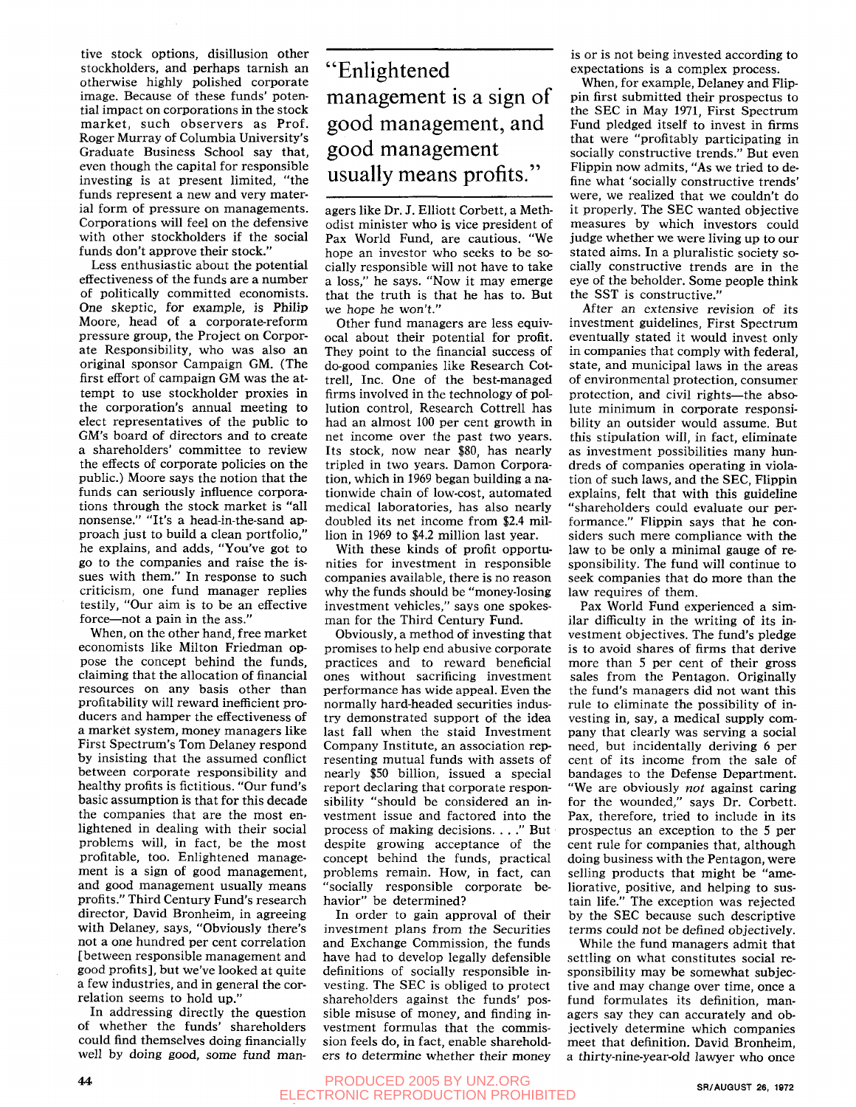tive stock options, disillusion other stockholders, and perhaps tarnish an otherwise highly polished corporate image. Because of these funds' potential impact on corporations in the stock market, such observers as Prof. Roger Murray of Columbia University's Graduate Business School say that, even though the capital for responsible investing is at present limited, "the funds represent a new and very material form of pressure on managements. Corporations will feel on the defensive with other stockholders if the social funds don't approve their stock."

Less enthusiastic about the potential effectiveness of the funds are a number of politically committed economists. One skeptic, for example, is Philip Moore, head of a corporate-reform pressure group, the Project on Corporate Responsibility, who was also an original sponsor Campaign GM. (The first effort of campaign GM was the attempt to use stockholder proxies in the corporation's annual meeting to elect representatives of the public to GM's board of directors and to create a shareholders' committee to review the effects of corporate policies on the public.) Moore says the notion that the funds can seriously influence corporations through the stock market is "all nonsense." "It's a head-in-the-sand approach just to build a clean portfolio," he explains, and adds, "You've got to go to the companies and raise the isgo to the companies and raise the issues with them. In response to such  $\frac{1}{2}$  $\epsilon$  criticism, one rund inailager repries resulty, our aim is to be an

When, on the other hand, free market economists like Milton Friedman oppose the concept behind the funds, claiming that the allocation of financial resources on any basis other than profitability will reward inefficient producers and hamper the effectiveness of a market system, money managers like First Spectrum's Tom Delaney respond by insisting that the assumed conflict between corporate responsibility and healthy profits is fictitious. "Our fund's basic assumption is that for this decade the companies that are the most enlightened in dealing with their social problems will, in fact, be the most profitable, too. Enlightened management is a sign of good management, and good management usually means profits." Third Century Fund's research director, David Bronheim, in agreeing with Delaney, says, "Obviously there's not a one hundred per cent correlation [between responsible management and good profits], but we've looked at quite a few industries, and in general the correlation seems to hold up."

In addressing directly the question of whether the funds' shareholders could find themselves doing financially well by doing good, some fund man-

## "Enlightened management is a sign of good management, and good management usually means profits."

agers like Dr. J. Elliott Corbett, a Methodist minister who is vice president of Pax World Fund, are cautious. "We hope an investor who seeks to be socially responsible will not have to take a loss," he says. "Now it may emerge that the truth is that he has to. But we hope he won't."

Other fund managers are less equivocal about their potential for profit. They point to the financial success of do-good companies like Research Cottrell. Inc. One of the best-managed firms involved in the technology of pollution control, Research Cottrell has had an almost 100 per cent growth in net income over the past two years. Its stock, now near \$80, has nearly tripled in two years. Damon Corporation, which in 1969 began building a nationwide chain of low-cost, automated medical laboratories, has also nearly doubled its net income from \$2.4 million in 1969 to \$4.2 million last year.

With these kinds of profit opportunities for investment in responsible companies available, there is no reason why the funds should be "money-losing investment vehicles," says one spokesman for the Third Century Fund.

Obviously, a method of investing that promises to help end abusive corporate practices and to reward beneficial ones without sacrificing investment performance has wide appeal. Even the normally hard-headed securities industry demonstrated support of the idea last fall when the staid Investment Company Institute, an association representing mutual funds with assets of nearly \$50 billion, issued a special report declaring that corporate responsibility "should be considered an investment issue and factored into the process of making decisions. . . ." But despite growing acceptance of the concept behind the funds, practical problems remain. How, in fact, can "socially responsible corporate behavior" be determined?

In order to gain approval of their investment plans from the Securities and Exchange Commission, the funds have had to develop legally defensible definitions of socially responsible investing. The SEC is obliged to protect shareholders against the funds' possible misuse of money, and finding investment formulas that the commission feels do, in fact, enable shareholders to determine whether their money is or is not being invested according to expectations is a complex process.

When, for example, Delaney and Flippin first submitted their prospectus to the SEC in May 1971, First Spectrum Fund pledged itself to invest in firms that were "profitably participating in socially constructive trends." But even Flippin now admits, "As we tried to define what 'socially constructive trends' were, we realized that we couldn't do it properly. The SEC wanted objective measures by which investors could judge whether we were living up to our stated aims. In a pluralistic society socially constructive trends are in the eye of the beholder. Some people think the SST is constructive."

After an extensive revision of its investment guidelines. First Spectrum eventually stated it would invest only in companies that comply with federal, state, and municipal laws in the areas of environmental protection, consumer protection, and civil rights—the absolute minimum in corporate responsibility an outsider would assume. But this stipulation will, in fact, eliminate as investment possibilities many hundreds of companies operating in violation of such laws, and the SEC, Flippin explains, felt that with this guideline "shareholders could evaluate our performance." Flippin says that he considers such mere compliance with the law to be only a minimal gauge of responsibility. The fund will continue to seek companies that do more than the law requires of them.

Pax World Fund experienced a similar difficulty in the writing of its investment objectives. The fund's pledge is to avoid shares of firms that derive more than 5 per cent of their gross sales from the Pentagon. Originally the fund's managers did not want this rule to eliminate the possibility of investing in, say, a medical supply company that clearly was serving a social need, but incidentally deriving 6 per cent of its income from the sale of bandages to the Defense Department. "We are obviously *not* against caring for the wounded," says Dr. Corbett. Pax, therefore, tried to include in its prospectus an exception to the 5 per cent rule for companies that, although doing business with the Pentagon, were selling products that might be "ameliorative, positive, and helping to sustain life." The exception was rejected by the SEC because such descriptive terms could not be defined objectively.

While the fund managers admit that settling on what constitutes social responsibility may be somewhat subjective and may change over time, once a fund formulates its definition, managers say they can accurately and objectively determine which companies meet that definition. David Bronheim, a thirty-nine-year-old lawyer who once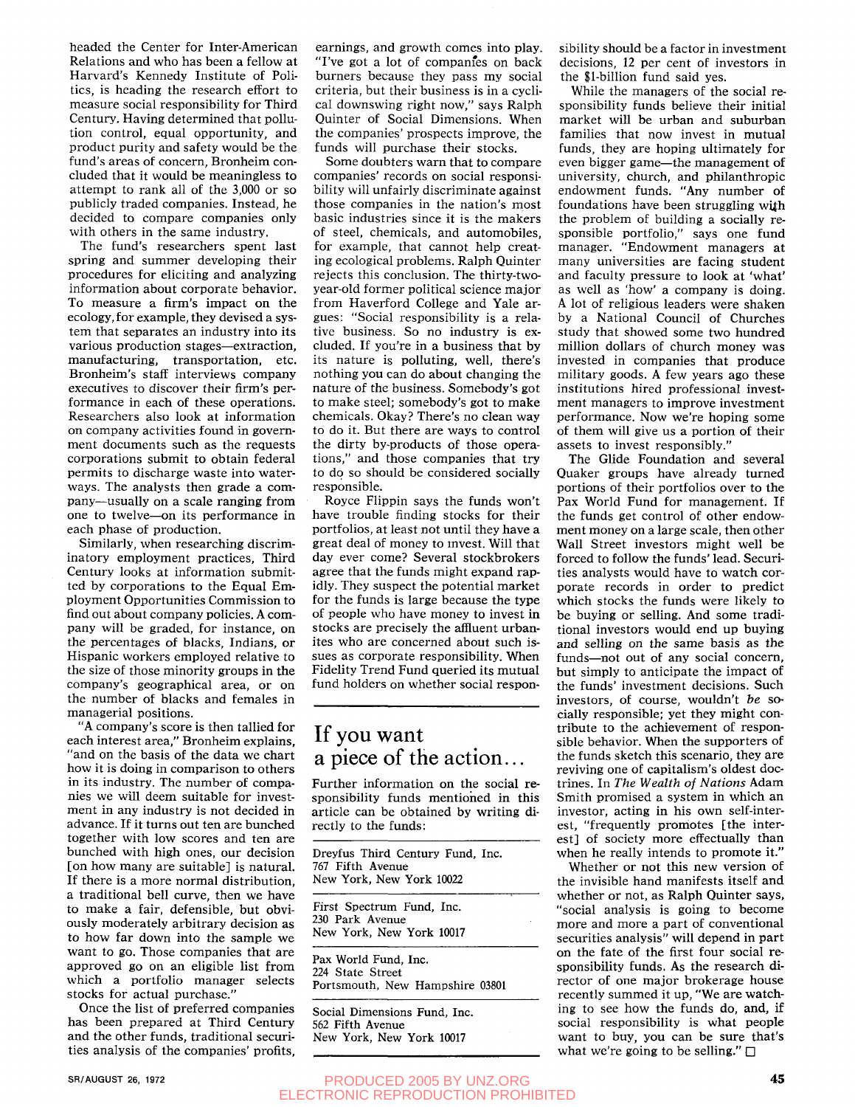headed the Center for Inter-American Relations and who has been a fellow at Harvard's Kennedy Institute of Politics, is heading the research effort to measure social responsibility for Third Century. Having determined that pollution control, equal opportunity, and product purity and safety would be the fund's areas of concern, Bronheim concluded that it would be meaningless to attempt to rank all of the 3,000 or so publicly traded companies. Instead, he decided to compare companies only with others in the same industry.

The fund's researchers spent last spring and summer developing their procedures for eliciting and analyzing information about corporate behavior. To measure a firm's impact on the ecology, for example, they devised a system that separates an industry into its various production stages—extraction, manufacturing, transportation, etc. Bronheim's staff interviews company executives to discover their firm's performance in each of these operations. Researchers also look at information on company activities found in government documents such as the requests corporations submit to obtain federal permits to discharge waste into waterways. The analysts then grade a company—usually on a scale ranging from one to twelve—on its performance in each phase of production.

Similarly, when researching discriminatory employment practices. Third Century looks at information submitted by corporations to the Equal Employment Opportunities Commission to find out about company policies. A company will be graded, for instance, on the percentages of blacks, Indians, or Hispanic workers employed relative to the size of those minority groups in the company's geographical area, or on the number of blacks and females in managerial positions.

"A company's score is then tallied for each interest area," Bronheim explains, "and on the basis of the data we chart how it is doing in comparison to others in its industry. The number of companies we will deem suitable for investment in any industry is not decided in advance. If it turns out ten are bunched together with low scores and ten are bunched with high ones, our decision [on how many are suitable] is natural. If there is a more normal distribution, a traditional bell curve, then we have to make a fair, defensible, but obviously moderately arbitrary decision as to how far down into the sample we want to go. Those companies that are approved go on an eligible list from which a portfolio manager selects stocks for actual purchase."

Once the list of preferred companies has been prepared at Third Century and the other funds, traditional securities analysis of the companies' profits.

earnings, and growth comes into play. "I've got a lot of companfes on back burners because they pass my social criteria, but their business is in a cyclical downswing right now," says Ralph Quinter of Social Dimensions. When the companies' prospects improve, the funds will purchase their stocks.

Some doubters warn that to compare companies' records on social responsibility will unfairly discriminate against those companies in the nation's most basic industries since it is the makers of steel, chemicals, and automobiles, for example, that cannot help creating ecological problems. Ralph Quinter rejects this conclusion. The thirty-twoyear-old former political science major from Haverford College and Yale argues: "Social responsibility is a relative business. So no industry is excluded. If you're in a business that by its nature is polluting, well, there's nothing you can do about changing the nature of the business. Somebody's got to make steel; somebody's got to make chemicals. Okay? There's no clean way to do it. But there are ways to control the dirty by-products of those operations," and those companies that try to do so should be considered socially responsible.

Royce Flippin says the funds won't have trouble finding stocks for their portfolios, at least not until they have a great deal of money to mvest. Will that day ever come? Several stockbrokers agree that the funds might expand rapidly. They suspect the potential market for the funds is large because the type of people who have money to invest in stocks are precisely the affluent urbanites who are concerned about such issues as corporate responsibility. When Fidelity Trend Fund queried its mutual fund holders on whether social respon-

### If you want a piece of the action...

Further information on the social responsibility funds mentioned in this article can be obtained by writing directly to the funds:

Dreyfus Third Century Fund, Inc. 767 Fifth Avenue New York, New York 10022

First Spectrum Fund, Inc. 230 Park Avenue New York, New York 10017

Pax World Fund, Inc. 224 State Street Portsmouth, New Hampshire 03801

Social Dimensions Fund, Inc. 562 Fifth Avenue New York, New York 10017

sibility should be a factor in investment decisions, 12 per cent of investors in the \$l-billion fund said yes.

While the managers of the social responsibility funds believe their initial market will be urban and suburban families that now invest in mutual funds, they are hoping ultimately for even bigger game—the management of university, church, and philanthropic endowment funds. "Any number of foundations have been struggling with the problem of building a socially responsible portfolio," says one fund manager. "Endowment managers at many universities are facing student and faculty pressure to look at 'what' as well as 'how' a company is doing. A lot of religious leaders were shaken by a National Council of Churches study that showed some two hundred million dollars of church money was invested in companies that produce military goods. A few years ago these institutions hired professional investment managers to improve investment ment managers to improve investment performance, in which is not proping some of them will give us a portion of their assets to invest responsibly."

The Glide Foundation and several Quaker groups have already turned portions of their portfolios over to the Pax World Fund for management. If the funds get control of other endowment money on a large scale, then other Wall Street investors might well be forced to follow the funds' lead. Securities analysts would have to watch corporate records in order to predict which stocks the funds were likely to be buying or selling. And some traditional investors would end up buying and selling on the same basis as the funds—not out of any social concern, but simply to anticipate the impact of the funds' investment decisions. Such investors, of course, wouldn't *be* socially responsible; yet they might contribute to the achievement of responsible behavior. When the supporters of the funds sketch this scenario, they are reviving one of capitalism's oldest doctrines. In *The Wealth of Nations* Adam Smith promised a system in which an investor, acting in his own self-interest, "frequently promotes [the interest] of society more effectually than when he really intends to promote it."

Whether or not this new version of the invisible hand manifests itself and whether or not, as Ralph Quinter says, "social analysis is going to become more and more a part of conventional securities analysis" will depend in part on the fate of the first four social responsibility funds. As the research director of one major brokerage house recently summed it up, "We are watching to see how the funds do, and, if social responsibility is what people want to buy, you can be sure that's what we're going to be selling."  $\Box$